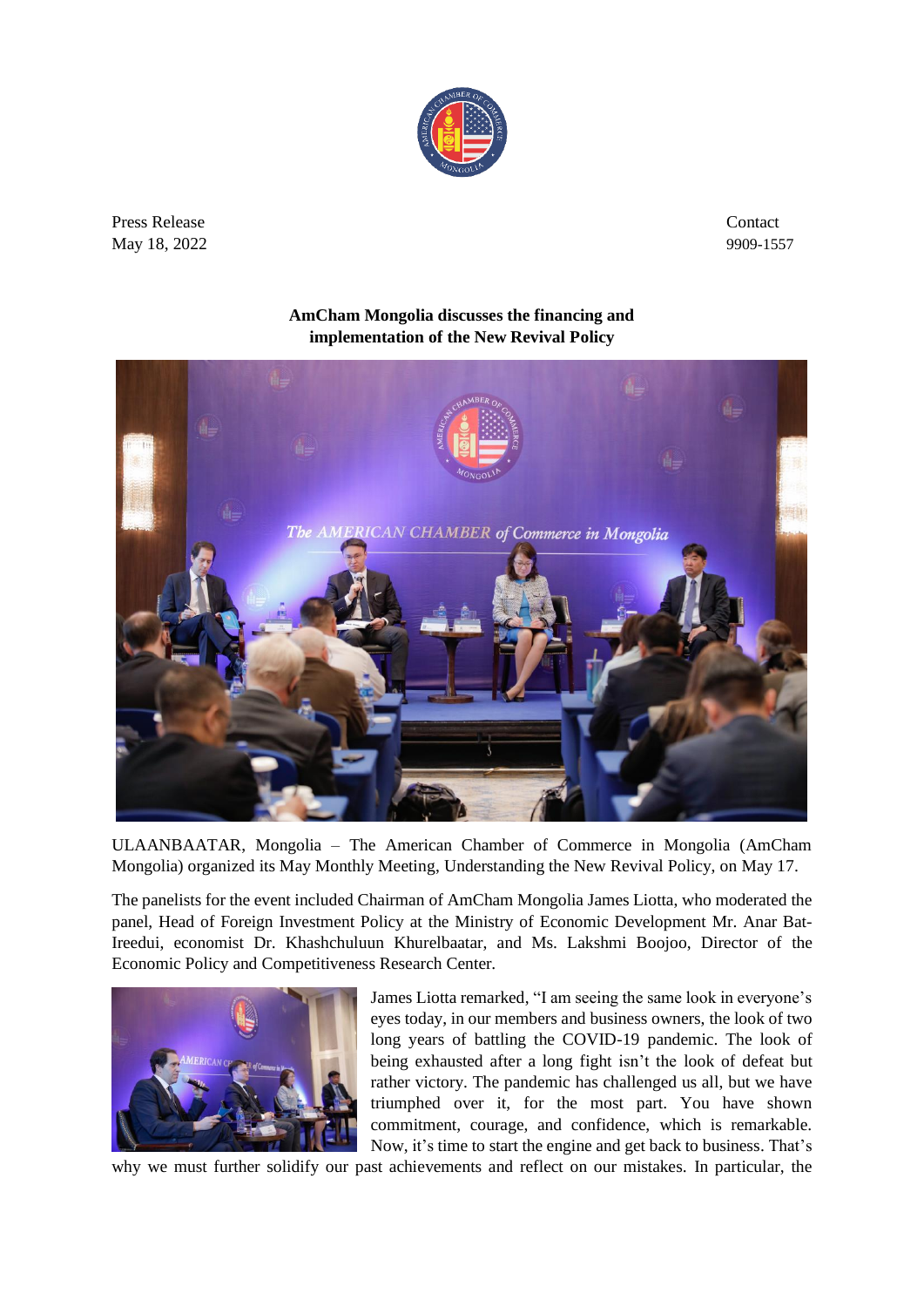

Press Release Contact Contact Contact Contact Contact Contact Contact Contact Contact Contact Contact Contact Contact Contact Contact Contact Contact Contact Contact Contact Contact Contact Contact Contact Contact Contact May 18, 2022 9909-1557

## **AmCham Mongolia discusses the financing and implementation of the New Revival Policy**



ULAANBAATAR, Mongolia – The American Chamber of Commerce in Mongolia (AmCham Mongolia) organized its May Monthly Meeting, Understanding the New Revival Policy, on May 17.

The panelists for the event included Chairman of AmCham Mongolia James Liotta, who moderated the panel, Head of Foreign Investment Policy at the Ministry of Economic Development Mr. Anar Bat-Ireedui, economist Dr. Khashchuluun Khurelbaatar, and Ms. Lakshmi Boojoo, Director of the Economic Policy and Competitiveness Research Center.



James Liotta remarked, "I am seeing the same look in everyone's eyes today, in our members and business owners, the look of two long years of battling the COVID-19 pandemic. The look of being exhausted after a long fight isn't the look of defeat but rather victory. The pandemic has challenged us all, but we have triumphed over it, for the most part. You have shown commitment, courage, and confidence, which is remarkable. Now, it's time to start the engine and get back to business. That's

why we must further solidify our past achievements and reflect on our mistakes. In particular, the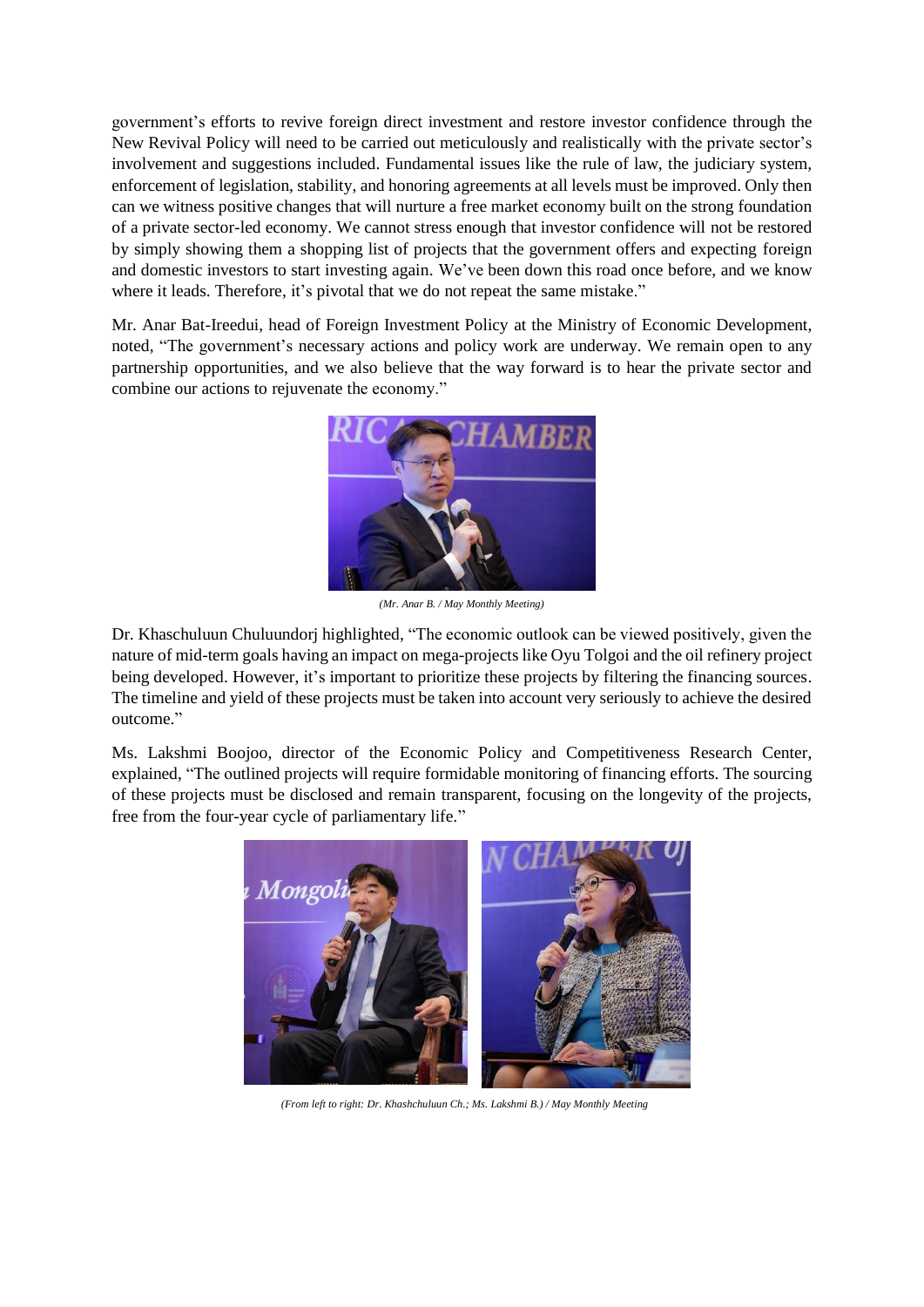government's efforts to revive foreign direct investment and restore investor confidence through the New Revival Policy will need to be carried out meticulously and realistically with the private sector's involvement and suggestions included. Fundamental issues like the rule of law, the judiciary system, enforcement of legislation, stability, and honoring agreements at all levels must be improved. Only then can we witness positive changes that will nurture a free market economy built on the strong foundation of a private sector-led economy. We cannot stress enough that investor confidence will not be restored by simply showing them a shopping list of projects that the government offers and expecting foreign and domestic investors to start investing again. We've been down this road once before, and we know where it leads. Therefore, it's pivotal that we do not repeat the same mistake."

Mr. Anar Bat-Ireedui, head of Foreign Investment Policy at the Ministry of Economic Development, noted, "The government's necessary actions and policy work are underway. We remain open to any partnership opportunities, and we also believe that the way forward is to hear the private sector and combine our actions to rejuvenate the economy."



*(Mr. Anar B. / May Monthly Meeting)*

Dr. Khaschuluun Chuluundorj highlighted, "The economic outlook can be viewed positively, given the nature of mid-term goals having an impact on mega-projects like Oyu Tolgoi and the oil refinery project being developed. However, it's important to prioritize these projects by filtering the financing sources. The timeline and yield of these projects must be taken into account very seriously to achieve the desired outcome."

Ms. Lakshmi Boojoo, director of the Economic Policy and Competitiveness Research Center, explained, "The outlined projects will require formidable monitoring of financing efforts. The sourcing of these projects must be disclosed and remain transparent, focusing on the longevity of the projects, free from the four-year cycle of parliamentary life."



*(From left to right: Dr. Khashchuluun Ch.; Ms. Lakshmi B.) / May Monthly Meeting*